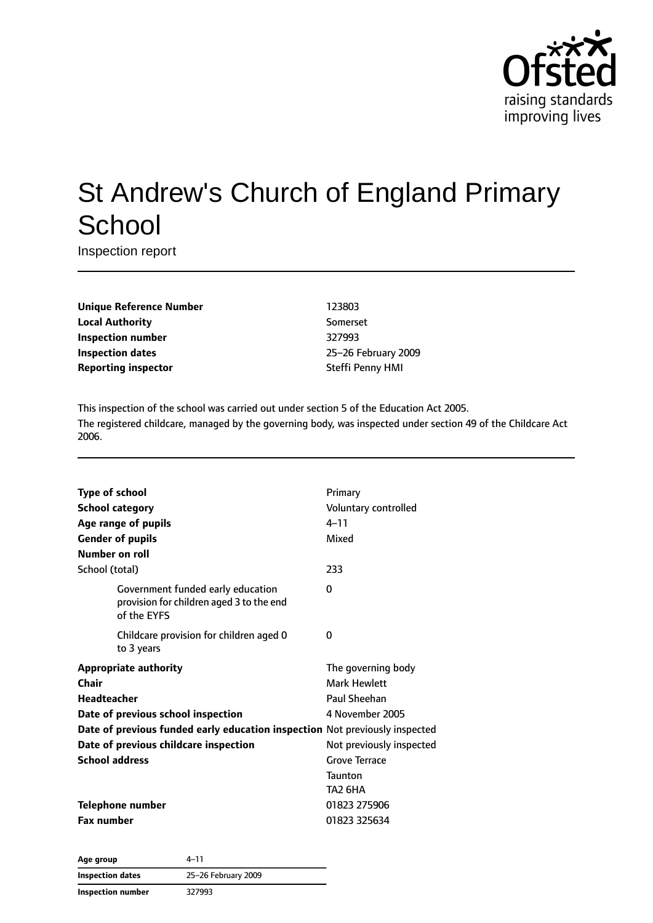

# St Andrew's Church of England Primary **School**

Inspection report

**Unique Reference Number** 123803 **Local Authority** Somerset **Inspection number** 327993 **Inspection dates** 25–26 February 2009 **Reporting inspector** Steffi Penny HMI

This inspection of the school was carried out under section 5 of the Education Act 2005. The registered childcare, managed by the governing body, was inspected under section 49 of the Childcare Act 2006.

| <b>Type of school</b><br><b>School category</b><br>Age range of pupils<br><b>Gender of pupils</b><br>Number on roll | Primary<br>Voluntary controlled<br>$4 - 11$<br>Mixed |
|---------------------------------------------------------------------------------------------------------------------|------------------------------------------------------|
| School (total)                                                                                                      | 233                                                  |
| Government funded early education<br>provision for children aged 3 to the end<br>of the EYFS                        | 0                                                    |
| Childcare provision for children aged 0<br>to 3 years                                                               | 0                                                    |
| <b>Appropriate authority</b>                                                                                        | The governing body                                   |
| Chair                                                                                                               | <b>Mark Hewlett</b>                                  |
| <b>Headteacher</b>                                                                                                  | Paul Sheehan                                         |
| Date of previous school inspection                                                                                  | 4 November 2005                                      |
| Date of previous funded early education inspection Not previously inspected                                         |                                                      |
| Date of previous childcare inspection                                                                               | Not previously inspected                             |
| <b>School address</b>                                                                                               | <b>Grove Terrace</b>                                 |
|                                                                                                                     | <b>Taunton</b>                                       |
|                                                                                                                     | TA2 6HA                                              |
| <b>Telephone number</b>                                                                                             | 01823 275906                                         |
| <b>Fax number</b>                                                                                                   | 01823 325634                                         |

**Age group** 4–11 **Inspection dates** 25–26 February 2009 **Inspection number** 327993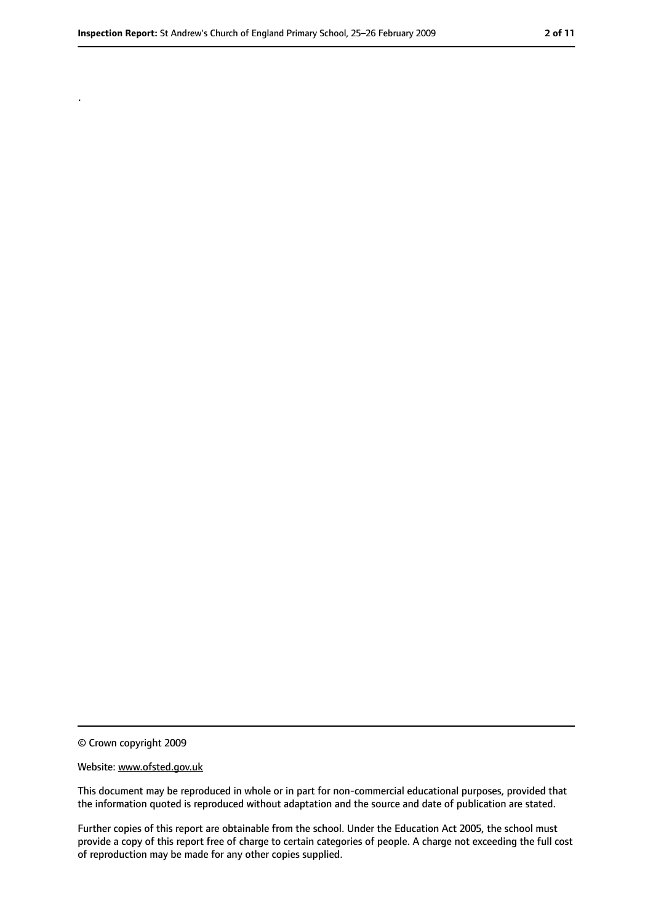.

<sup>©</sup> Crown copyright 2009

Website: www.ofsted.gov.uk

This document may be reproduced in whole or in part for non-commercial educational purposes, provided that the information quoted is reproduced without adaptation and the source and date of publication are stated.

Further copies of this report are obtainable from the school. Under the Education Act 2005, the school must provide a copy of this report free of charge to certain categories of people. A charge not exceeding the full cost of reproduction may be made for any other copies supplied.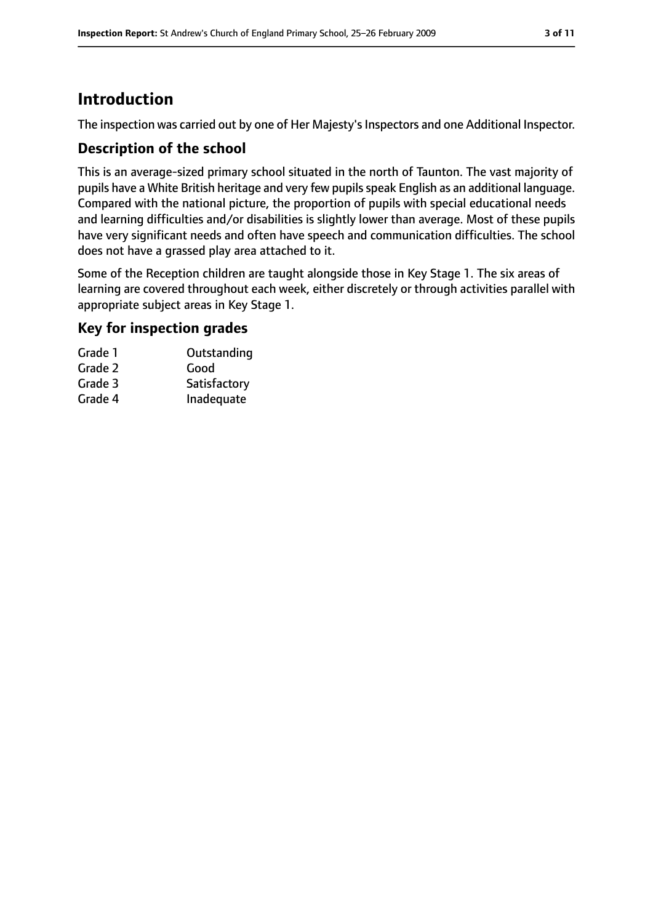# **Introduction**

The inspection was carried out by one of Her Majesty's Inspectors and one Additional Inspector.

#### **Description of the school**

This is an average-sized primary school situated in the north of Taunton. The vast majority of pupils have a White British heritage and very few pupils speak English as an additional language. Compared with the national picture, the proportion of pupils with special educational needs and learning difficulties and/or disabilities is slightly lower than average. Most of these pupils have very significant needs and often have speech and communication difficulties. The school does not have a grassed play area attached to it.

Some of the Reception children are taught alongside those in Key Stage 1. The six areas of learning are covered throughout each week, either discretely or through activities parallel with appropriate subject areas in Key Stage 1.

#### **Key for inspection grades**

| Outstanding  |
|--------------|
| Good         |
| Satisfactory |
| Inadequate   |
|              |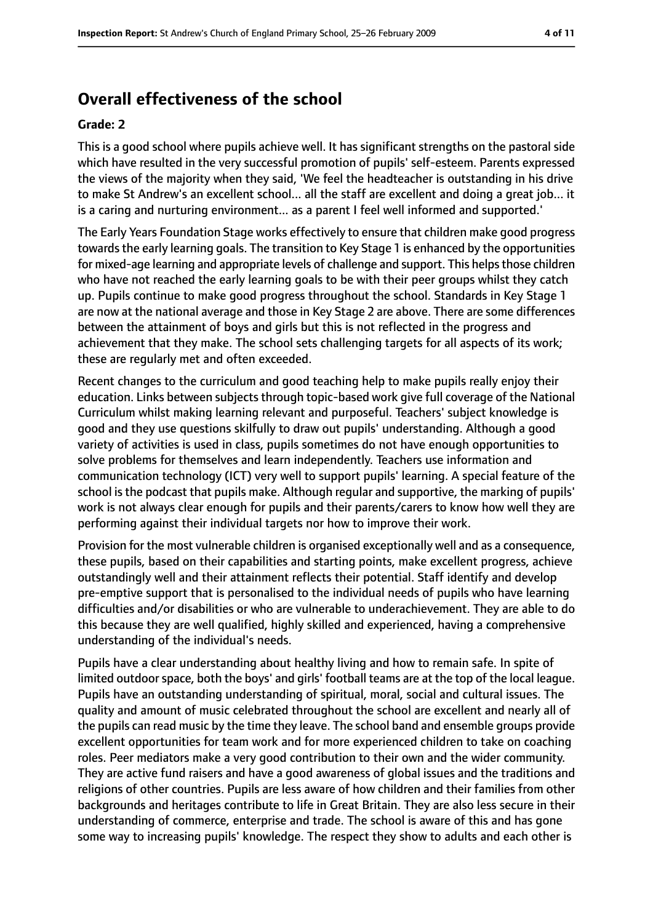# **Overall effectiveness of the school**

#### **Grade: 2**

This is a good school where pupils achieve well. It has significant strengths on the pastoral side which have resulted in the very successful promotion of pupils' self-esteem. Parents expressed the views of the majority when they said, 'We feel the headteacher is outstanding in his drive to make St Andrew's an excellent school... all the staff are excellent and doing a great job... it is a caring and nurturing environment... as a parent I feel well informed and supported.'

The Early Years Foundation Stage works effectively to ensure that children make good progress towards the early learning goals. The transition to Key Stage 1 is enhanced by the opportunities for mixed-age learning and appropriate levels of challenge and support. This helps those children who have not reached the early learning goals to be with their peer groups whilst they catch up. Pupils continue to make good progress throughout the school. Standards in Key Stage 1 are now at the national average and those in Key Stage 2 are above. There are some differences between the attainment of boys and girls but this is not reflected in the progress and achievement that they make. The school sets challenging targets for all aspects of its work; these are regularly met and often exceeded.

Recent changes to the curriculum and good teaching help to make pupils really enjoy their education. Links between subjects through topic-based work give full coverage of the National Curriculum whilst making learning relevant and purposeful. Teachers' subject knowledge is good and they use questions skilfully to draw out pupils' understanding. Although a good variety of activities is used in class, pupils sometimes do not have enough opportunities to solve problems for themselves and learn independently. Teachers use information and communication technology (ICT) very well to support pupils' learning. A special feature of the school is the podcast that pupils make. Although regular and supportive, the marking of pupils' work is not always clear enough for pupils and their parents/carers to know how well they are performing against their individual targets nor how to improve their work.

Provision for the most vulnerable children is organised exceptionally well and as a consequence, these pupils, based on their capabilities and starting points, make excellent progress, achieve outstandingly well and their attainment reflects their potential. Staff identify and develop pre-emptive support that is personalised to the individual needs of pupils who have learning difficulties and/or disabilities or who are vulnerable to underachievement. They are able to do this because they are well qualified, highly skilled and experienced, having a comprehensive understanding of the individual's needs.

Pupils have a clear understanding about healthy living and how to remain safe. In spite of limited outdoor space, both the boys' and girls' football teams are at the top of the local league. Pupils have an outstanding understanding of spiritual, moral, social and cultural issues. The quality and amount of music celebrated throughout the school are excellent and nearly all of the pupils can read music by the time they leave. The school band and ensemble groups provide excellent opportunities for team work and for more experienced children to take on coaching roles. Peer mediators make a very good contribution to their own and the wider community. They are active fund raisers and have a good awareness of global issues and the traditions and religions of other countries. Pupils are less aware of how children and their families from other backgrounds and heritages contribute to life in Great Britain. They are also less secure in their understanding of commerce, enterprise and trade. The school is aware of this and has gone some way to increasing pupils' knowledge. The respect they show to adults and each other is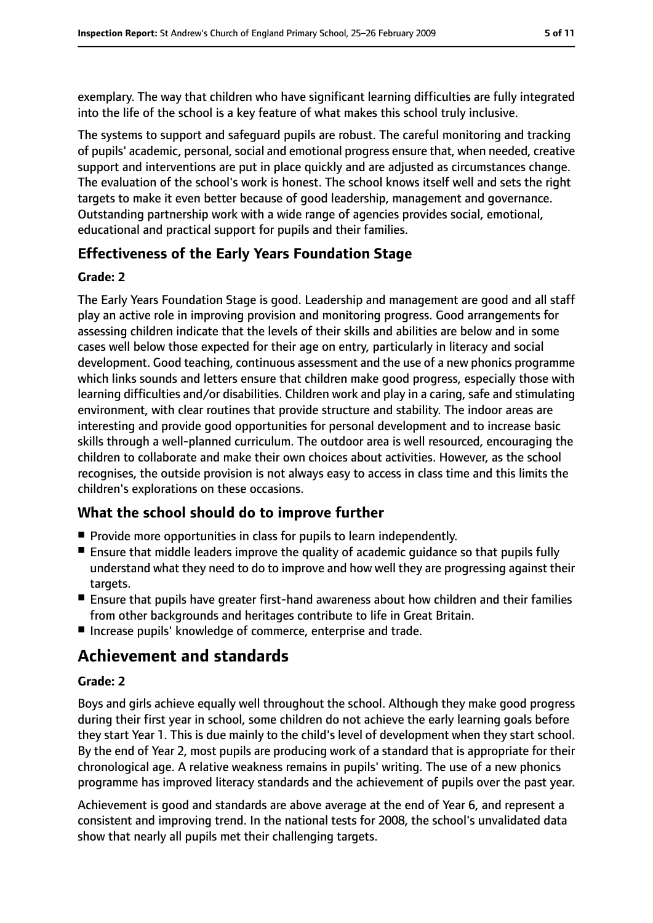exemplary. The way that children who have significant learning difficulties are fully integrated into the life of the school is a key feature of what makes this school truly inclusive.

The systems to support and safeguard pupils are robust. The careful monitoring and tracking of pupils' academic, personal, social and emotional progress ensure that, when needed, creative support and interventions are put in place quickly and are adjusted as circumstances change. The evaluation of the school's work is honest. The school knows itself well and sets the right targets to make it even better because of good leadership, management and governance. Outstanding partnership work with a wide range of agencies provides social, emotional, educational and practical support for pupils and their families.

## **Effectiveness of the Early Years Foundation Stage**

#### **Grade: 2**

The Early Years Foundation Stage is good. Leadership and management are good and all staff play an active role in improving provision and monitoring progress. Good arrangements for assessing children indicate that the levels of their skills and abilities are below and in some cases well below those expected for their age on entry, particularly in literacy and social development. Good teaching, continuous assessment and the use of a new phonics programme which links sounds and letters ensure that children make good progress, especially those with learning difficulties and/or disabilities. Children work and play in a caring, safe and stimulating environment, with clear routines that provide structure and stability. The indoor areas are interesting and provide good opportunities for personal development and to increase basic skills through a well-planned curriculum. The outdoor area is well resourced, encouraging the children to collaborate and make their own choices about activities. However, as the school recognises, the outside provision is not always easy to access in class time and this limits the children's explorations on these occasions.

## **What the school should do to improve further**

- Provide more opportunities in class for pupils to learn independently.
- Ensure that middle leaders improve the quality of academic quidance so that pupils fully understand what they need to do to improve and how well they are progressing against their targets.
- Ensure that pupils have greater first-hand awareness about how children and their families from other backgrounds and heritages contribute to life in Great Britain.
- Increase pupils' knowledge of commerce, enterprise and trade.

# **Achievement and standards**

#### **Grade: 2**

Boys and girls achieve equally well throughout the school. Although they make good progress during their first year in school, some children do not achieve the early learning goals before they start Year 1. This is due mainly to the child's level of development when they start school. By the end of Year 2, most pupils are producing work of a standard that is appropriate for their chronological age. A relative weakness remains in pupils' writing. The use of a new phonics programme has improved literacy standards and the achievement of pupils over the past year.

Achievement is good and standards are above average at the end of Year 6, and represent a consistent and improving trend. In the national tests for 2008, the school's unvalidated data show that nearly all pupils met their challenging targets.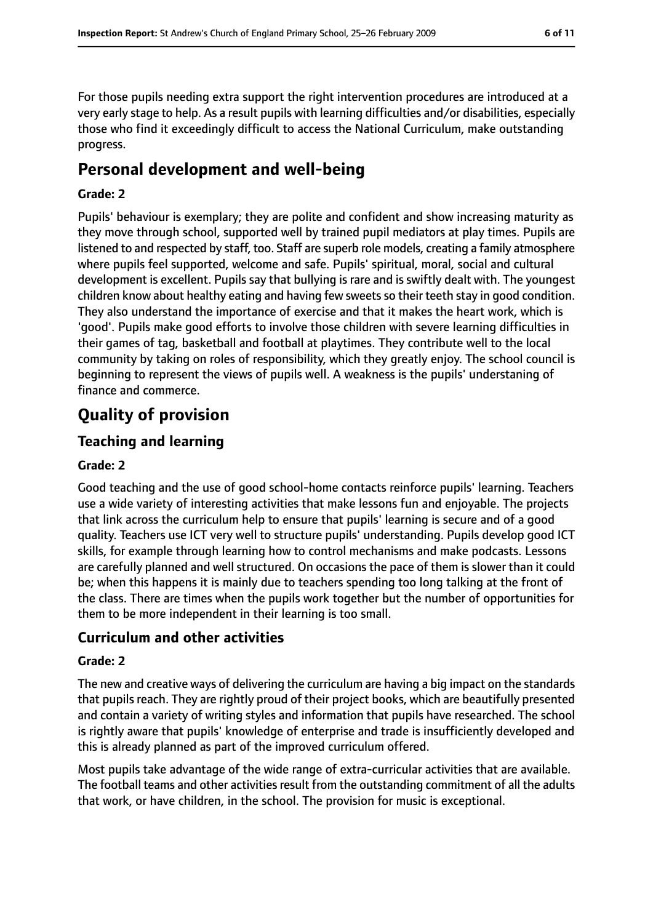For those pupils needing extra support the right intervention procedures are introduced at a very early stage to help. As a result pupils with learning difficulties and/or disabilities, especially those who find it exceedingly difficult to access the National Curriculum, make outstanding progress.

# **Personal development and well-being**

#### **Grade: 2**

Pupils' behaviour is exemplary; they are polite and confident and show increasing maturity as they move through school, supported well by trained pupil mediators at play times. Pupils are listened to and respected by staff, too. Staff are superb role models, creating a family atmosphere where pupils feel supported, welcome and safe. Pupils' spiritual, moral, social and cultural development is excellent. Pupils say that bullying is rare and is swiftly dealt with. The youngest children know about healthy eating and having few sweets so their teeth stay in good condition. They also understand the importance of exercise and that it makes the heart work, which is 'good'. Pupils make good efforts to involve those children with severe learning difficulties in their games of tag, basketball and football at playtimes. They contribute well to the local community by taking on roles of responsibility, which they greatly enjoy. The school council is beginning to represent the views of pupils well. A weakness is the pupils' understaning of finance and commerce.

# **Quality of provision**

## **Teaching and learning**

#### **Grade: 2**

Good teaching and the use of good school-home contacts reinforce pupils' learning. Teachers use a wide variety of interesting activities that make lessons fun and enjoyable. The projects that link across the curriculum help to ensure that pupils' learning is secure and of a good quality. Teachers use ICT very well to structure pupils' understanding. Pupils develop good ICT skills, for example through learning how to control mechanisms and make podcasts. Lessons are carefully planned and well structured. On occasions the pace of them is slower than it could be; when this happens it is mainly due to teachers spending too long talking at the front of the class. There are times when the pupils work together but the number of opportunities for them to be more independent in their learning is too small.

#### **Curriculum and other activities**

#### **Grade: 2**

The new and creative ways of delivering the curriculum are having a big impact on the standards that pupils reach. They are rightly proud of their project books, which are beautifully presented and contain a variety of writing styles and information that pupils have researched. The school is rightly aware that pupils' knowledge of enterprise and trade is insufficiently developed and this is already planned as part of the improved curriculum offered.

Most pupils take advantage of the wide range of extra-curricular activities that are available. The football teams and other activities result from the outstanding commitment of all the adults that work, or have children, in the school. The provision for music is exceptional.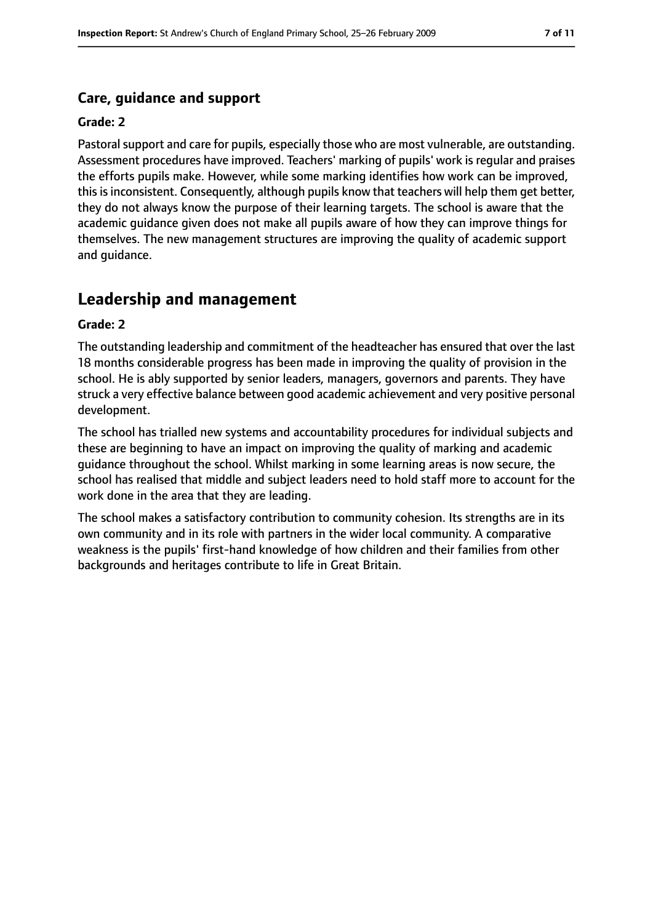## **Care, guidance and support**

#### **Grade: 2**

Pastoral support and care for pupils, especially those who are most vulnerable, are outstanding. Assessment procedures have improved. Teachers' marking of pupils' work is regular and praises the efforts pupils make. However, while some marking identifies how work can be improved, this is inconsistent. Consequently, although pupils know that teachers will help them get better, they do not always know the purpose of their learning targets. The school is aware that the academic guidance given does not make all pupils aware of how they can improve things for themselves. The new management structures are improving the quality of academic support and guidance.

# **Leadership and management**

#### **Grade: 2**

The outstanding leadership and commitment of the headteacher has ensured that over the last 18 months considerable progress has been made in improving the quality of provision in the school. He is ably supported by senior leaders, managers, governors and parents. They have struck a very effective balance between good academic achievement and very positive personal development.

The school has trialled new systems and accountability procedures for individual subjects and these are beginning to have an impact on improving the quality of marking and academic guidance throughout the school. Whilst marking in some learning areas is now secure, the school has realised that middle and subject leaders need to hold staff more to account for the work done in the area that they are leading.

The school makes a satisfactory contribution to community cohesion. Its strengths are in its own community and in its role with partners in the wider local community. A comparative weakness is the pupils' first-hand knowledge of how children and their families from other backgrounds and heritages contribute to life in Great Britain.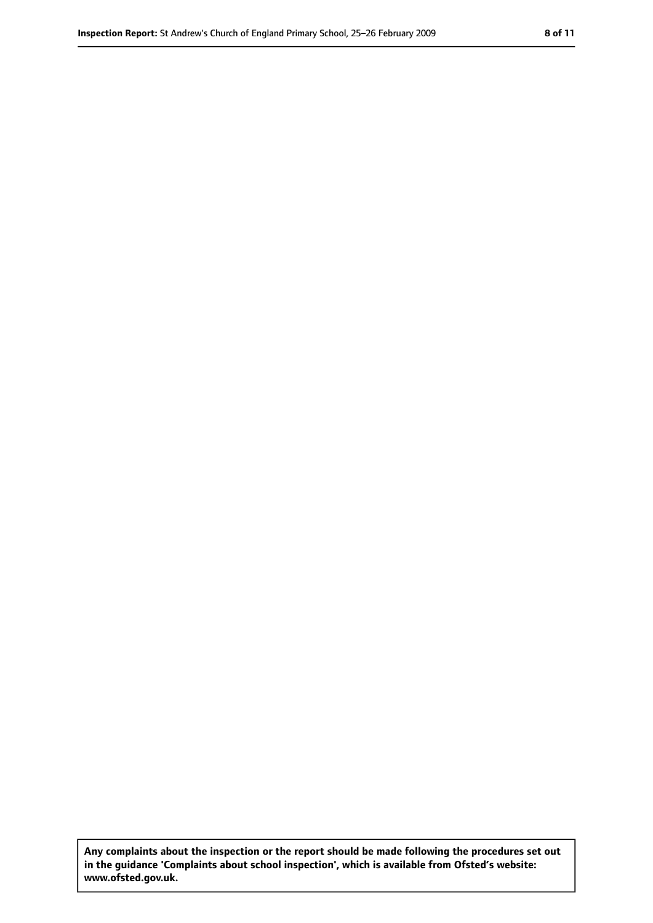**Any complaints about the inspection or the report should be made following the procedures set out in the guidance 'Complaints about school inspection', which is available from Ofsted's website: www.ofsted.gov.uk.**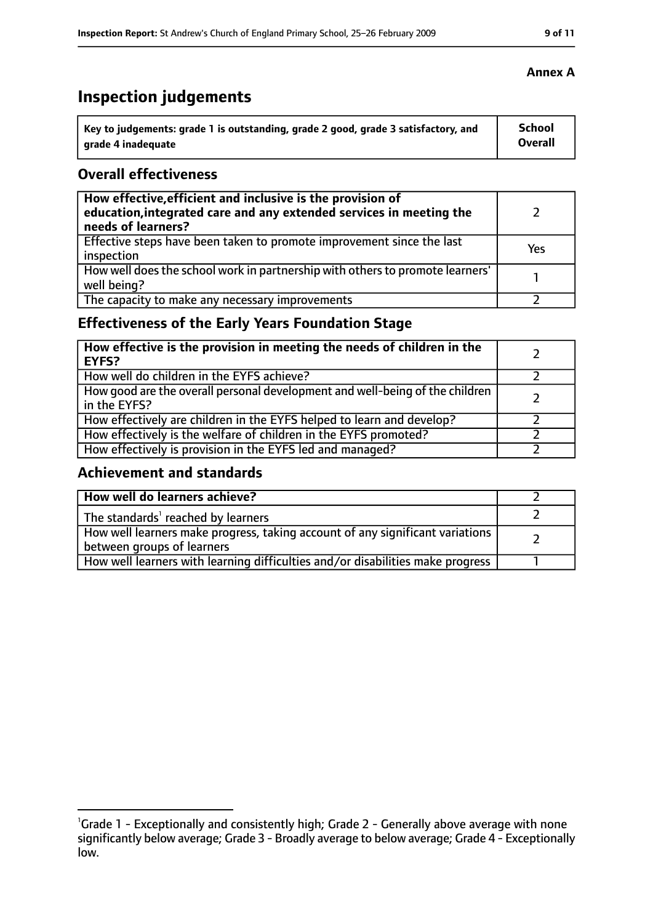# **Inspection judgements**

| \ Key to judgements: grade 1 is outstanding, grade 2 good, grade 3 satisfactory, and | <b>School</b>  |
|--------------------------------------------------------------------------------------|----------------|
| arade 4 inadequate                                                                   | <b>Overall</b> |

## **Overall effectiveness**

| How effective, efficient and inclusive is the provision of<br>education, integrated care and any extended services in meeting the<br>needs of learners? |     |
|---------------------------------------------------------------------------------------------------------------------------------------------------------|-----|
| Effective steps have been taken to promote improvement since the last<br>inspection                                                                     | Yes |
| How well does the school work in partnership with others to promote learners'<br>well being?                                                            |     |
| The capacity to make any necessary improvements                                                                                                         |     |

# **Effectiveness of the Early Years Foundation Stage**

| How effective is the provision in meeting the needs of children in the<br><b>EYFS?</b>       |  |
|----------------------------------------------------------------------------------------------|--|
| How well do children in the EYFS achieve?                                                    |  |
| How good are the overall personal development and well-being of the children<br>in the EYFS? |  |
| How effectively are children in the EYFS helped to learn and develop?                        |  |
| How effectively is the welfare of children in the EYFS promoted?                             |  |
| How effectively is provision in the EYFS led and managed?                                    |  |

## **Achievement and standards**

| How well do learners achieve?                                                                               |  |
|-------------------------------------------------------------------------------------------------------------|--|
| The standards <sup>1</sup> reached by learners                                                              |  |
| How well learners make progress, taking account of any significant variations<br>between groups of learners |  |
| How well learners with learning difficulties and/or disabilities make progress                              |  |

## **Annex A**

<sup>&</sup>lt;sup>1</sup>Grade 1 - Exceptionally and consistently high; Grade 2 - Generally above average with none significantly below average; Grade 3 - Broadly average to below average; Grade 4 - Exceptionally low.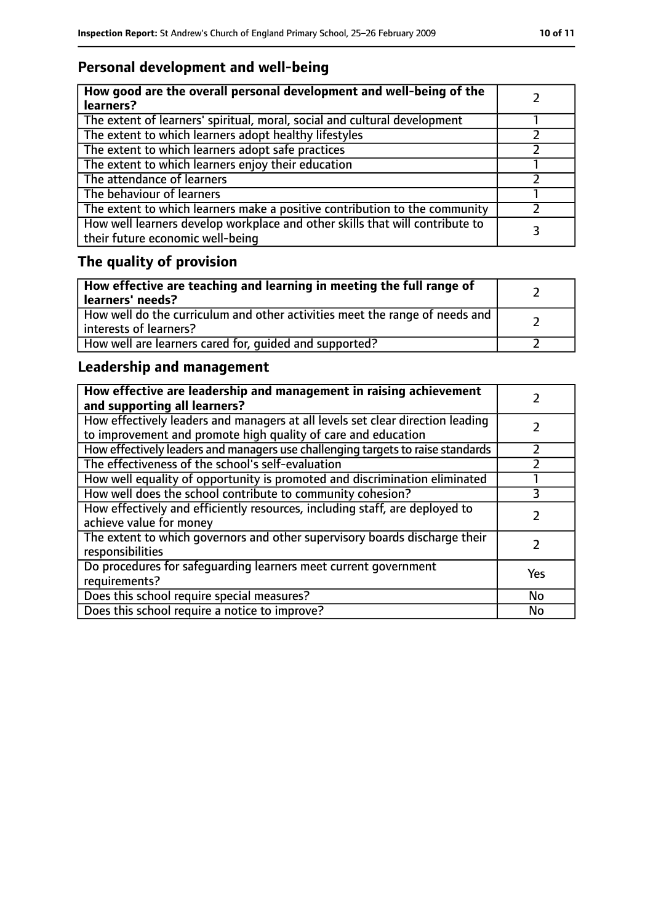# **Personal development and well-being**

| How good are the overall personal development and well-being of the<br>learners?                                 |  |
|------------------------------------------------------------------------------------------------------------------|--|
| The extent of learners' spiritual, moral, social and cultural development                                        |  |
| The extent to which learners adopt healthy lifestyles                                                            |  |
| The extent to which learners adopt safe practices                                                                |  |
| The extent to which learners enjoy their education                                                               |  |
| The attendance of learners                                                                                       |  |
| The behaviour of learners                                                                                        |  |
| The extent to which learners make a positive contribution to the community                                       |  |
| How well learners develop workplace and other skills that will contribute to<br>their future economic well-being |  |

# **The quality of provision**

| How effective are teaching and learning in meeting the full range of<br>learners' needs?              |  |
|-------------------------------------------------------------------------------------------------------|--|
| How well do the curriculum and other activities meet the range of needs and<br>interests of learners? |  |
| How well are learners cared for, quided and supported?                                                |  |

# **Leadership and management**

| How effective are leadership and management in raising achievement<br>and supporting all learners?                                              |     |
|-------------------------------------------------------------------------------------------------------------------------------------------------|-----|
| How effectively leaders and managers at all levels set clear direction leading<br>to improvement and promote high quality of care and education |     |
| How effectively leaders and managers use challenging targets to raise standards                                                                 |     |
| The effectiveness of the school's self-evaluation                                                                                               |     |
| How well equality of opportunity is promoted and discrimination eliminated                                                                      |     |
| How well does the school contribute to community cohesion?                                                                                      |     |
| How effectively and efficiently resources, including staff, are deployed to<br>achieve value for money                                          |     |
| The extent to which governors and other supervisory boards discharge their<br>responsibilities                                                  |     |
| Do procedures for safequarding learners meet current government<br>requirements?                                                                | Yes |
| Does this school require special measures?                                                                                                      | No  |
| Does this school require a notice to improve?                                                                                                   | No  |